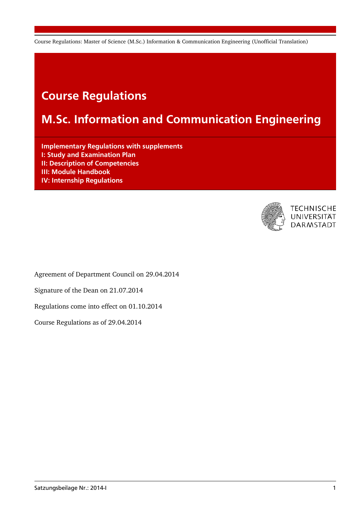# Course Regulations

# M.Sc. Information and Communication Engineering

Implementary Regulations with supplements I: Study and Examination Plan II: Description of Competencies III: Module Handbook IV: Internship Regulations



**TECHNISCHE** UNIVERSITÄT **DARMSTADT** 

Agreement of Department Council on 29.04.2014

Signature of the Dean on 21.07.2014

Regulations come into effect on 01.10.2014

Course Regulations as of 29.04.2014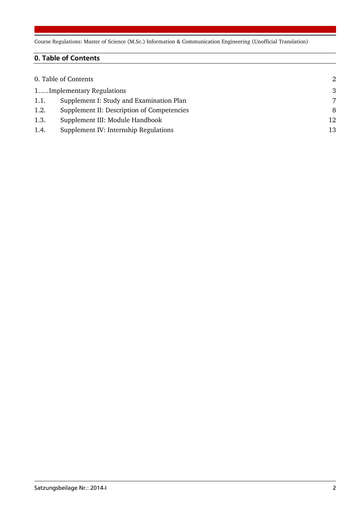# 0. Table of Contents

|      | 0. Table of Contents                       | 2  |
|------|--------------------------------------------|----|
|      | 1Implementary Regulations                  | 3  |
| 1.1. | Supplement I: Study and Examination Plan   | 7  |
| 1.2. | Supplement II: Description of Competencies | 8  |
| 1.3. | Supplement III: Module Handbook            | 12 |
| 1.4. | Supplement IV: Internship Regulations      | 13 |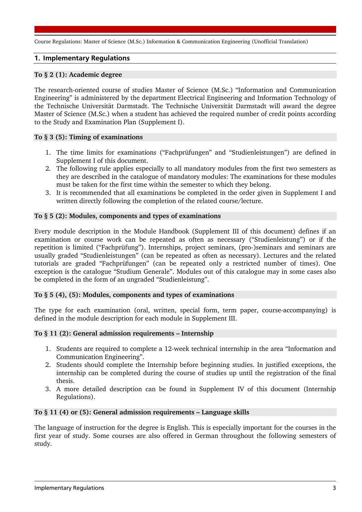### 1. Implementary Regulations

#### **To § 2 (1): Academic degree**

The research-oriented course of studies Master of Science (M.Sc.) "Information and Communication Engineering" is administered by the department Electrical Engineering and Information Technology of the Technische Universität Darmstadt. The Technische Universität Darmstadt will award the degree Master of Science (M.Sc.) when a student has achieved the required number of credit points according to the Study and Examination Plan (Supplement I).

#### **To § 3 (5): Timing of examinations**

- 1. The time limits for examinations ("Fachprüfungen" and "Studienleistungen") are defined in Supplement I of this document.
- 2. The following rule applies especially to all mandatory modules from the first two semesters as they are described in the catalogue of mandatory modules: The examinations for these modules must be taken for the first time within the semester to which they belong.
- 3. It is recommended that all examinations be completed in the order given in Supplement I and written directly following the completion of the related course/lecture.

#### **To § 5 (2): Modules, components and types of examinations**

Every module description in the Module Handbook (Supplement III of this document) defines if an examination or course work can be repeated as often as necessary ("Studienleistung") or if the repetition is limited ("Fachprüfung"). Internships, project seminars, (pro-)seminars and seminars are usually graded "Studienleistungen" (can be repeated as often as necessary). Lectures and the related tutorials are graded "Fachprüfungen" (can be repeated only a restricted number of times). One exception is the catalogue "Studium Generale". Modules out of this catalogue may in some cases also be completed in the form of an ungraded "Studienleistung".

#### **To § 5 (4), (5): Modules, components and types of examinations**

The type for each examination (oral, written, special form, term paper, course-accompanying) is defined in the module description for each module in Supplement III.

#### **To § 11 (2): General admission requirements – Internship**

- 1. Students are required to complete a 12-week technical internship in the area "Information and Communication Engineering".
- 2. Students should complete the Internship before beginning studies. In justified exceptions, the internship can be completed during the course of studies up until the registration of the final thesis.
- 3. A more detailed description can be found in Supplement IV of this document (Internship Regulations).

#### **To § 11 (4) or (5): General admission requirements – Language skills**

The language of instruction for the degree is English. This is especially important for the courses in the first year of study. Some courses are also offered in German throughout the following semesters of study.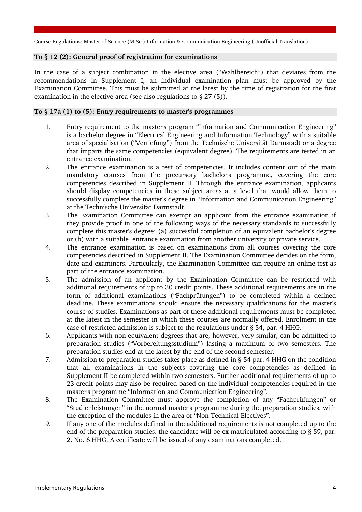#### **To § 12 (2): General proof of registration for examinations**

In the case of a subject combination in the elective area ("Wahlbereich") that deviates from the recommendations in Supplement I, an individual examination plan must be approved by the Examination Committee. This must be submitted at the latest by the time of registration for the first examination in the elective area (see also regulations to § 27 (5)).

#### **To § 17a (1) to (5): Entry requirements to master's programmes**

- 1. Entry requirement to the master's program "Information and Communication Engineering" is a bachelor degree in "Electrical Engineering and Information Technology" with a suitable area of specialisation ("Vertiefung") from the Technische Universität Darmstadt or a degree that imparts the same competencies (equivalent degree). The requirements are tested in an entrance examination.
- 2. The entrance examination is a test of competencies. It includes content out of the main mandatory courses from the precursory bachelor's programme, covering the core competencies described in Supplement II. Through the entrance examination, applicants should display competencies in these subject areas at a level that would allow them to successfully complete the master's degree in "Information and Communication Engineering" at the Technische Universität Darmstadt.
- 3. The Examination Committee can exempt an applicant from the entrance examination if they provide proof in one of the following ways of the necessary standards to successfully complete this master's degree: (a) successful completion of an equivalent bachelor's degree or (b) with a suitable entrance examination from another university or private service.
- 4. The entrance examination is based on examinations from all courses covering the core competencies described in Supplement II. The Examination Committee decides on the form, date and examiners. Particularly, the Examination Committee can require an online-test as part of the entrance examination.
- 5. The admission of an applicant by the Examination Committee can be restricted with additional requirements of up to 30 credit points. These additional requirements are in the form of additional examinations ("Fachprüfungen") to be completed within a defined deadline. These examinations should ensure the necessary qualifications for the master's course of studies. Examinations as part of these additional requirements must be completed at the latest in the semester in which these courses are normally offered. Enrolment in the case of restricted admission is subject to the regulations under § 54, par. 4 HHG.
- 6. Applicants with non-equivalent degrees that are, however, very similar, can be admitted to preparation studies ("Vorbereitungsstudium") lasting a maximum of two semesters. The preparation studies end at the latest by the end of the second semester.
- 7. Admission to preparation studies takes place as defined in § 54 par. 4 HHG on the condition that all examinations in the subjects covering the core competencies as defined in Supplement II be completed within two semesters. Further additional requirements of up to 23 credit points may also be required based on the individual competencies required in the master's programme "Information and Communication Engineering".
- 8. The Examination Committee must approve the completion of any "Fachprüfungen" or "Studienleistungen" in the normal master's programme during the preparation studies, with the exception of the modules in the area of "Non-Technical Electives".
- 9. If any one of the modules defined in the additional requirements is not completed up to the end of the preparation studies, the candidate will be ex-matriculated according to § 59, par. 2. No. 6 HHG. A certificate will be issued of any examinations completed.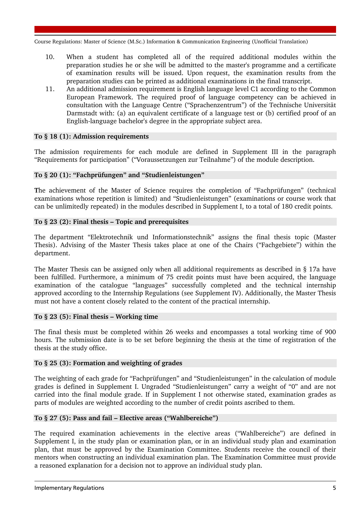- 10. When a student has completed all of the required additional modules within the preparation studies he or she will be admitted to the master's programme and a certificate of examination results will be issued. Upon request, the examination results from the preparation studies can be printed as additional examinations in the final transcript.
- 11. An additional admission requirement is English language level C1 according to the Common European Framework. The required proof of language competency can be achieved in consultation with the Language Centre ("Sprachenzentrum") of the Technische Universität Darmstadt with: (a) an equivalent certificate of a language test or (b) certified proof of an English-language bachelor's degree in the appropriate subject area.

#### **To § 18 (1): Admission requirements**

The admission requirements for each module are defined in Supplement III in the paragraph "Requirements for participation" ("Voraussetzungen zur Teilnahme") of the module description.

#### **To § 20 (1): "Fachprüfungen" and "Studienleistungen"**

**T**he achievement of the Master of Science requires the completion of "Fachprüfungen" (technical examinations whose repetition is limited) and "Studienleistungen" (examinations or course work that can be unlimitedly repeated) in the modules described in Supplement I, to a total of 180 credit points.

### **To § 23 (2): Final thesis – Topic and prerequisites**

The department "Elektrotechnik und Informationstechnik" assigns the final thesis topic (Master Thesis). Advising of the Master Thesis takes place at one of the Chairs ("Fachgebiete") within the department.

The Master Thesis can be assigned only when all additional requirements as described in § 17a have been fulfilled. Furthermore, a minimum of 75 credit points must have been acquired, the language examination of the catalogue "languages" successfully completed and the technical internship approved according to the Internship Regulations (see Supplement IV). Additionally, the Master Thesis must not have a content closely related to the content of the practical internship.

#### **To § 23 (5): Final thesis – Working time**

The final thesis must be completed within 26 weeks and encompasses a total working time of 900 hours. The submission date is to be set before beginning the thesis at the time of registration of the thesis at the study office.

#### **To § 25 (3): Formation and weighting of grades**

The weighting of each grade for "Fachprüfungen" and "Studienleistungen" in the calculation of module grades is defined in Supplement I. Ungraded "Studienleistungen" carry a weight of "0" and are not carried into the final module grade. If in Supplement I not otherwise stated, examination grades as parts of modules are weighted according to the number of credit points ascribed to them.

#### **To § 27 (5): Pass and fail – Elective areas ("Wahlbereiche")**

The required examination achievements in the elective areas ("Wahlbereiche") are defined in Supplement I, in the study plan or examination plan, or in an individual study plan and examination plan, that must be approved by the Examination Committee. Students receive the council of their mentors when constructing an individual examination plan. The Examination Committee must provide a reasoned explanation for a decision not to approve an individual study plan.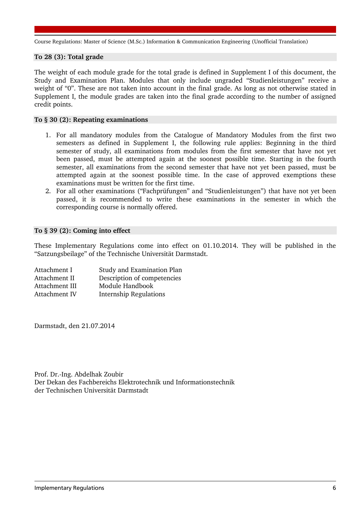#### **To 28 (3): Total grade**

The weight of each module grade for the total grade is defined in Supplement I of this document, the Study and Examination Plan. Modules that only include ungraded "Studienleistungen" receive a weight of "0". These are not taken into account in the final grade. As long as not otherwise stated in Supplement I, the module grades are taken into the final grade according to the number of assigned credit points.

#### **To § 30 (2): Repeating examinations**

- 1. For all mandatory modules from the Catalogue of Mandatory Modules from the first two semesters as defined in Supplement I, the following rule applies: Beginning in the third semester of study, all examinations from modules from the first semester that have not yet been passed, must be attempted again at the soonest possible time. Starting in the fourth semester, all examinations from the second semester that have not yet been passed, must be attempted again at the soonest possible time. In the case of approved exemptions these examinations must be written for the first time.
- 2. For all other examinations ("Fachprüfungen" and "Studienleistungen") that have not yet been passed, it is recommended to write these examinations in the semester in which the corresponding course is normally offered.

#### **To § 39 (2): Coming into effect**

These Implementary Regulations come into effect on 01.10.2014. They will be published in the "Satzungsbeilage" of the Technische Universität Darmstadt.

| Attachment I   | Study and Examination Plan    |
|----------------|-------------------------------|
| Attachment II  | Description of competencies   |
| Attachment III | Module Handbook               |
| Attachment IV  | <b>Internship Regulations</b> |

Darmstadt, den 21.07.2014

Prof. Dr.-Ing. Abdelhak Zoubir Der Dekan des Fachbereichs Elektrotechnik und Informationstechnik der Technischen Universität Darmstadt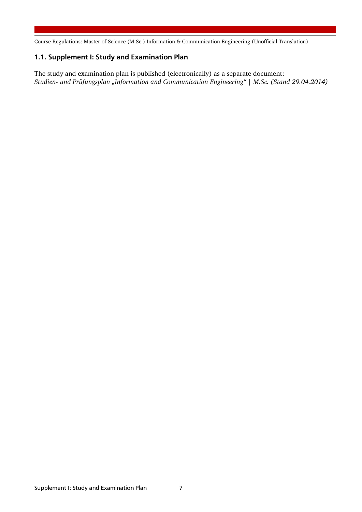# 1.1. Supplement I: Study and Examination Plan

The study and examination plan is published (electronically) as a separate document: *Studien- und Prüfungsplan "Information and Communication Engineering" | M.Sc. (Stand 29.04.2014)*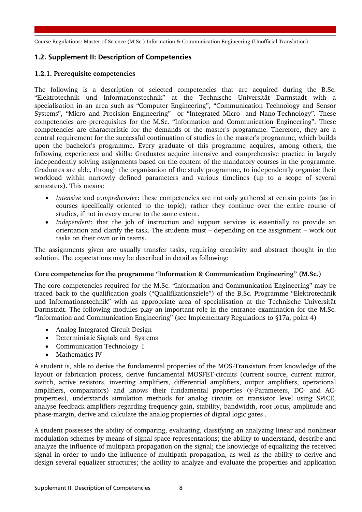# 1.2. Supplement II: Description of Competencies

## **1.2.1. Prerequisite competencies**

The following is a description of selected competencies that are acquired during the B.Sc. "Elektrotechnik und Informationstechnik" at the Technische Universität Darmstadt with a specialisation in an area such as "Computer Engineering", "Communication Technology and Sensor Systems", "Micro and Precision Engineering" or "Integrated Micro- and Nano-Technology". These competencies are prerequisites for the M.Sc. "Information and Communication Engineering". These competencies are characteristic for the demands of the master's programme. Therefore, they are a central requirement for the successful continuation of studies in the master's programme, which builds upon the bachelor's programme. Every graduate of this programme acquires, among others, the following experiences and skills: Graduates acquire intensive and comprehensive practice in largely independently solving assignments based on the content of the mandatory courses in the programme. Graduates are able, through the organisation of the study programme, to independently organise their workload within narrowly defined parameters and various timelines (up to a scope of several semesters). This means:

- *Intensive* and *comprehensive*: these competencies are not only gathered at certain points (as in courses specifically oriented to the topic); rather they continue over the entire course of studies, if not in every course to the same extent.
- *Independent*: that the job of instruction and support services is essentially to provide an orientation and clarify the task. The students must – depending on the assignment – work out tasks on their own or in teams.

The assignments given are usually transfer tasks, requiring creativity and abstract thought in the solution. The expectations may be described in detail as following:

#### **Core competencies for the programme "Information & Communication Engineering" (M.Sc.)**

The core competencies required for the M.Sc. "Information and Communication Engineering" may be traced back to the qualification goals ("Qualifikationsziele") of the B.Sc. Programme "Elektrotechnik und Informationstechnik" with an appropriate area of specialisation at the Technische Universität Darmstadt. The following modules play an important role in the entrance examination for the M.Sc. "Information and Communication Engineering" (see Implementary Regulations to §17a, point 4)

- Analog Integrated Circuit Design
- Deterministic Signals and Systems
- Communication Technology I
- Mathematics IV

A student is, able to derive the fundamental properties of the MOS-Transistors from knowledge of the layout or fabrication process, derive fundamental MOSFET-circuits (current source, current mirror, switch, active resistors, inverting amplifiers, differential amplifiers, output amplifiers, operational amplifiers, comparators) and knows their fundamental properties (y-Parameters, DC- and ACproperties), understands simulation methods for analog circuits on transistor level using SPICE, analyse feedback amplifiers regarding frequency gain, stability, bandwidth, root locus, amplitude and phase-margin, derive and calculate the analog propierties of digital logic gates .

A student possesses the ability of comparing, evaluating, classifying an analyzing linear and nonlinear modulation schemes by means of signal space representations; the ability to understand, describe and analyze the influence of multipath propagation on the signal; the knowledge of equalizing the received signal in order to undo the influence of multipath propagation, as well as the ability to derive and design several equalizer structures; the ability to analyze and evaluate the properties and application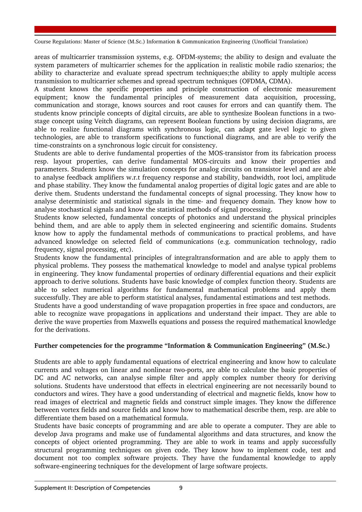areas of multicarrier transmission systems, e.g. OFDM-systems; the ability to design and evaluate the system parameters of multicarrier schemes for the application in realistic mobile radio szenarios; the ability to characterize and evaluate spread spectrum techniques;the ability to apply multiple access transmission to multicarrier schemes and spread spectrum techniques (OFDMA, CDMA).

A student knows the specific properties and principle construction of electronic measurement equipment; know the fundamental principles of measurement data acquisition, processing, communication and storage, knows sources and root causes for errors and can quantify them. The students know principle concepts of digital circuits, are able to synthesize Boolean functions in a twostage concept using Veitch diagrams, can represent Boolean functions by using decision diagrams, are able to realize functional diagrams with synchronous logic, can adapt gate level logic to given technologies, are able to transform specifications to functional diagrams, and are able to verify the time-constraints on a synchronous logic circuit for consistency.

Students are able to derive fundamental properties of the MOS-transistor from its fabrication process resp. layout properties, can derive fundamental MOS-circuits and know their properties and parameters. Students know the simulation concepts for analog circuits on transistor level and are able to analyse feedback amplifiers w.r.t frequency response and stability, bandwidth, root loci, amplitude and phase stability. They know the fundamental analog properties of digital logic gates and are able to derive them. Students understand the fundamental concepts of signal processing. They know how to analyse deterministic and statistical signals in the time- and frequency domain. They know how to analyse stochastical signals and know the statistical methods of signal processing.

Students know selected, fundamental concepts of photonics and understand the physical principles behind them, and are able to apply them in selected engineering and scientific domains. Students know how to apply the fundamental methods of communications to practical problems, and have advanced knowledge on selected field of communications (e.g. communication technology, radio frequency, signal processing, etc).

Students know the fundamental principles of integraltransformation and are able to apply them to physical problems. They possess the mathematical knowledge to model and analyse typical problems in engineering. They know fundamental properties of ordinary differential equations and their explicit approach to derive solutions. Students have basic knowledge of complex function theory. Students are able to select numerical algorithms for fundamental mathematical problems and apply them successfully. They are able to perform statistical analyses, fundamental estimations and test methods.

Students have a good understanding of wave propagation properties in free space and conductors, are able to recognize wave propagations in applications and understand their impact. They are able to derive the wave properties from Maxwells equations and possess the required mathematical knowledge for the derivations.

## **Further competencies for the programme "Information & Communication Engineering" (M.Sc.)**

Students are able to apply fundamental equations of electrical engineering and know how to calculate currents and voltages on linear and nonlinear two-ports, are able to calculate the basic properties of DC and AC networks, can analyse simple filter and apply complex number theory for deriving solutions. Students have understood that effects in electrical engineering are not necessarily bound to conductors and wires. They have a good understanding of electrical and magnetic fields, know how to read images of electrical and magnetic fields and construct simple images. They know the difference between vortex fields and source fields and know how to mathematical describe them, resp. are able to differentiate them based on a mathematical formula.

Students have basic concepts of programming and are able to operate a computer. They are able to develop Java programs and make use of fundamental algorithms and data structures, and know the concepts of object oriented programming. They are able to work in teams and apply successfully structural programming techniques on given code. They know how to implement code, test and document not too complex software projects. They have the fundamental knowledge to apply software-engineering techniques for the development of large software projects.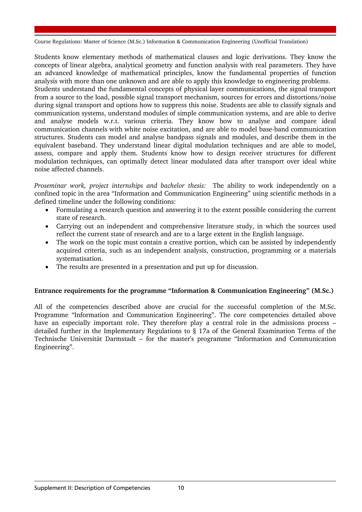Students know elementary methods of mathematical clauses and logic derivations. They know the concepts of linear algebra, analytical geometry and function analysis with real parameters. They have an advanced knowledge of mathematical principles, know the fundamental properties of function analysis with more than one unknown and are able to apply this knowledge to engineering problems. Students understand the fundamental concepts of physical layer communications, the signal transport from a source to the load, possible signal transport mechanism, sources for errors and distortions/noise during signal transport and options how to suppress this noise. Students are able to classify signals and communication systems, understand modules of simple communication systems, and are able to derive and analyse models w.r.t. various criteria. They know how to analyse and compare ideal communication channels with white noise excitation, and are able to model base-band communication structures. Students can model and analyse bandpass signals and modules, and describe them in the equivalent baseband. They understand linear digital modulation techniques and are able to model, assess, compare and apply them. Students know how to design receiver structures for different modulation techniques, can optimally detect linear modulated data after transport over ideal white noise affected channels.

*Proseminar work, project internships and bachelor thesis:* The ability to work independently on a confined topic in the area "Information and Communication Engineering" using scientific methods in a defined timeline under the following conditions:

- Formulating a research question and answering it to the extent possible considering the current state of research.
- Carrying out an independent and comprehensive literature study, in which the sources used reflect the current state of research and are to a large extent in the English language.
- The work on the topic must contain a creative portion, which can be assisted by independently acquired criteria, such as an independent analysis, construction, programming or a materials systematisation.
- The results are presented in a presentation and put up for discussion.

## **Entrance requirements for the programme "Information & Communication Engineering" (M.Sc.)**

All of the competencies described above are crucial for the successful completion of the M.Sc. Programme "Information and Communication Engineering". The core competencies detailed above have an especially important role. They therefore play a central role in the admissions process – detailed further in the Implementary Regulations to § 17a of the General Examination Terms of the Technische Universität Darmstadt – for the master's programme "Information and Communication Engineering".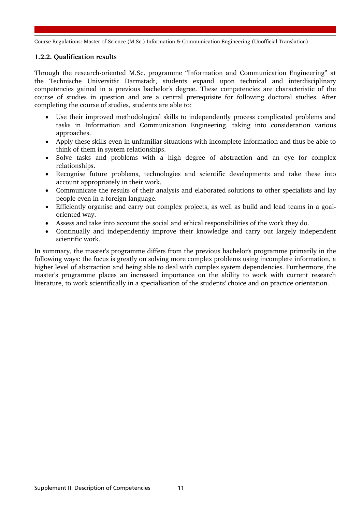## **1.2.2. Qualification results**

Through the research-oriented M.Sc. programme "Information and Communication Engineering" at the Technische Universität Darmstadt, students expand upon technical and interdisciplinary competencies gained in a previous bachelor's degree. These competencies are characteristic of the course of studies in question and are a central prerequisite for following doctoral studies. After completing the course of studies, students are able to:

- Use their improved methodological skills to independently process complicated problems and tasks in Information and Communication Engineering, taking into consideration various approaches.
- Apply these skills even in unfamiliar situations with incomplete information and thus be able to think of them in system relationships.
- Solve tasks and problems with a high degree of abstraction and an eye for complex relationships.
- Recognise future problems, technologies and scientific developments and take these into account appropriately in their work.
- Communicate the results of their analysis and elaborated solutions to other specialists and lay people even in a foreign language.
- Efficiently organise and carry out complex projects, as well as build and lead teams in a goaloriented way.
- Assess and take into account the social and ethical responsibilities of the work they do.
- Continually and independently improve their knowledge and carry out largely independent scientific work.

In summary, the master's programme differs from the previous bachelor's programme primarily in the following ways: the focus is greatly on solving more complex problems using incomplete information, a higher level of abstraction and being able to deal with complex system dependencies. Furthermore, the master's programme places an increased importance on the ability to work with current research literature, to work scientifically in a specialisation of the students' choice and on practice orientation.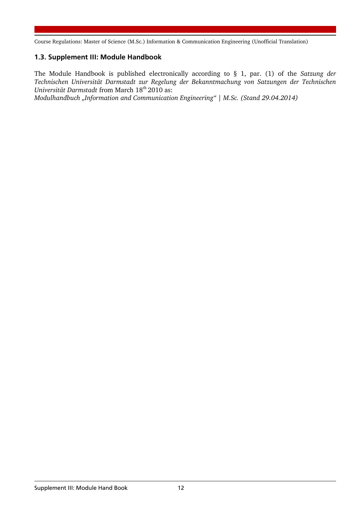# 1.3. Supplement III: Module Handbook

The Module Handbook is published electronically according to § 1, par. (1) of the *Satzung der Technischen Universität Darmstadt zur Regelung der Bekanntmachung von Satzungen der Technischen Universität Darmstadt* from March 18<sup>th</sup> 2010 as:

*Modulhandbuch "Information and Communication Engineering" | M.Sc. (Stand 29.04.2014)*